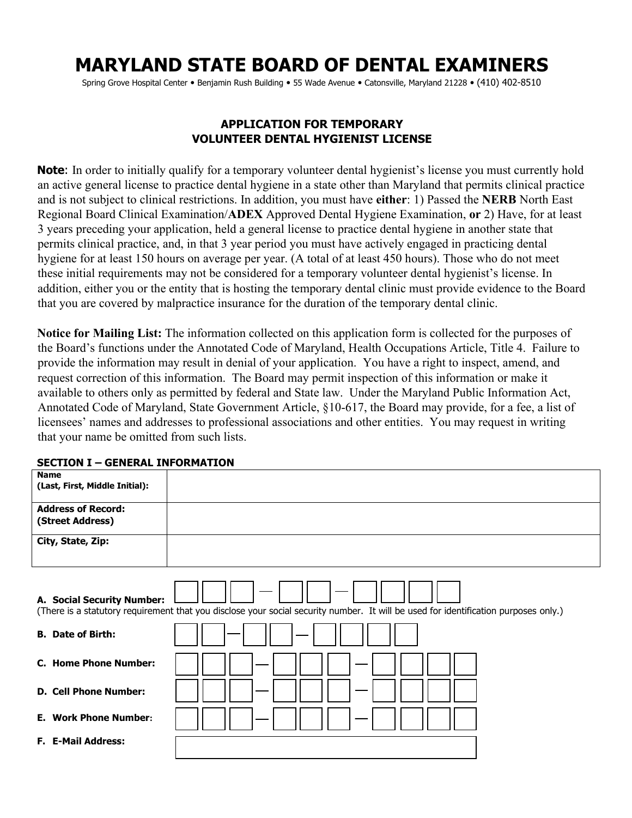# **MARYLAND STATE BOARD OF DENTAL EXAMINERS**

Spring Grove Hospital Center • Benjamin Rush Building • 55 Wade Avenue • Catonsville, Maryland 21228 • (410) 402-8510

## **APPLICATION FOR TEMPORARY VOLUNTEER DENTAL HYGIENIST LICENSE**

**Note**: In order to initially qualify for a temporary volunteer dental hygienist's license you must currently hold an active general license to practice dental hygiene in a state other than Maryland that permits clinical practice and is not subject to clinical restrictions. In addition, you must have **either**: 1) Passed the **NERB** North East Regional Board Clinical Examination/**ADEX** Approved Dental Hygiene Examination, **or** 2) Have, for at least 3 years preceding your application, held a general license to practice dental hygiene in another state that permits clinical practice, and, in that 3 year period you must have actively engaged in practicing dental hygiene for at least 150 hours on average per year. (A total of at least 450 hours). Those who do not meet these initial requirements may not be considered for a temporary volunteer dental hygienist's license. In addition, either you or the entity that is hosting the temporary dental clinic must provide evidence to the Board that you are covered by malpractice insurance for the duration of the temporary dental clinic.

**Notice for Mailing List:** The information collected on this application form is collected for the purposes of the Board's functions under the Annotated Code of Maryland, Health Occupations Article, Title 4. Failure to provide the information may result in denial of your application. You have a right to inspect, amend, and request correction of this information. The Board may permit inspection of this information or make it available to others only as permitted by federal and State law. Under the Maryland Public Information Act, Annotated Code of Maryland, State Government Article, §10-617, the Board may provide, for a fee, a list of licensees' names and addresses to professional associations and other entities. You may request in writing that your name be omitted from such lists.

| <b>Name</b><br>(Last, First, Middle Initial):                                                                                                          |                                                                                                                                     |
|--------------------------------------------------------------------------------------------------------------------------------------------------------|-------------------------------------------------------------------------------------------------------------------------------------|
| <b>Address of Record:</b><br>(Street Address)                                                                                                          |                                                                                                                                     |
| City, State, Zip:                                                                                                                                      |                                                                                                                                     |
| A. Social Security Number:<br><b>B.</b> Date of Birth:<br><b>C. Home Phone Number:</b><br><b>D. Cell Phone Number:</b><br><b>E. Work Phone Number:</b> | (There is a statutory requirement that you disclose your social security number. It will be used for identification purposes only.) |
| <b>F. E-Mail Address:</b>                                                                                                                              |                                                                                                                                     |

#### **SECTION I – GENERAL INFORMATION**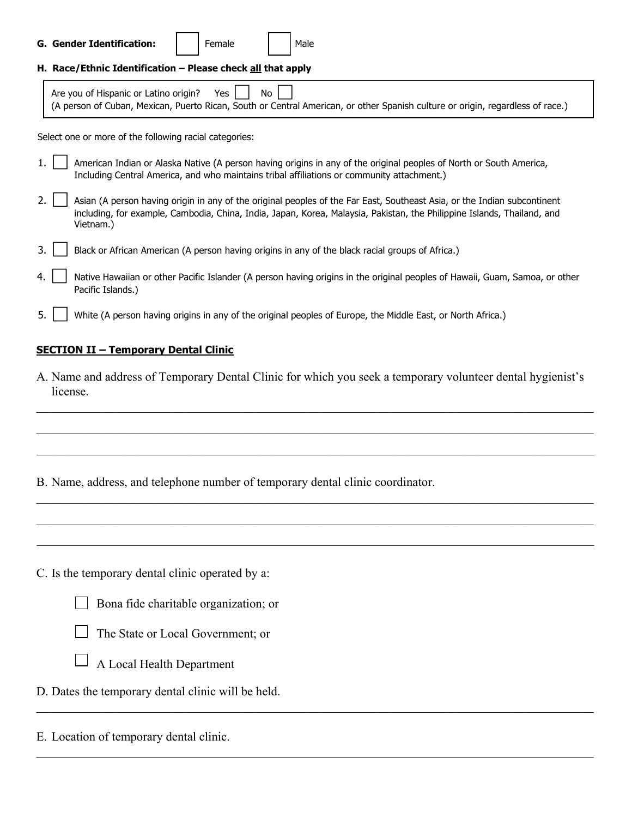|    | <b>G. Gender Identification:</b><br>Female<br>Male                                                                                                                                                                                                               |  |  |  |  |
|----|------------------------------------------------------------------------------------------------------------------------------------------------------------------------------------------------------------------------------------------------------------------|--|--|--|--|
|    | H. Race/Ethnic Identification - Please check all that apply                                                                                                                                                                                                      |  |  |  |  |
|    | Are you of Hispanic or Latino origin?<br>No<br>Yes<br>(A person of Cuban, Mexican, Puerto Rican, South or Central American, or other Spanish culture or origin, regardless of race.)                                                                             |  |  |  |  |
|    | Select one or more of the following racial categories:                                                                                                                                                                                                           |  |  |  |  |
|    | American Indian or Alaska Native (A person having origins in any of the original peoples of North or South America,<br>Including Central America, and who maintains tribal affiliations or community attachment.)                                                |  |  |  |  |
|    | Asian (A person having origin in any of the original peoples of the Far East, Southeast Asia, or the Indian subcontinent<br>including, for example, Cambodia, China, India, Japan, Korea, Malaysia, Pakistan, the Philippine Islands, Thailand, and<br>Vietnam.) |  |  |  |  |
| 3. | Black or African American (A person having origins in any of the black racial groups of Africa.)                                                                                                                                                                 |  |  |  |  |
| 4. | Native Hawaiian or other Pacific Islander (A person having origins in the original peoples of Hawaii, Guam, Samoa, or other<br>Pacific Islands.)                                                                                                                 |  |  |  |  |
|    | White (A person having origins in any of the original peoples of Europe, the Middle East, or North Africa.)                                                                                                                                                      |  |  |  |  |

#### **SECTION II – Temporary Dental Clinic**

A. Name and address of Temporary Dental Clinic for which you seek a temporary volunteer dental hygienist's license.

 $\mathcal{L}_\mathcal{L} = \mathcal{L}_\mathcal{L} = \mathcal{L}_\mathcal{L} = \mathcal{L}_\mathcal{L} = \mathcal{L}_\mathcal{L} = \mathcal{L}_\mathcal{L} = \mathcal{L}_\mathcal{L} = \mathcal{L}_\mathcal{L} = \mathcal{L}_\mathcal{L} = \mathcal{L}_\mathcal{L} = \mathcal{L}_\mathcal{L} = \mathcal{L}_\mathcal{L} = \mathcal{L}_\mathcal{L} = \mathcal{L}_\mathcal{L} = \mathcal{L}_\mathcal{L} = \mathcal{L}_\mathcal{L} = \mathcal{L}_\mathcal{L}$ 

 $\mathcal{L}_\mathcal{L} = \mathcal{L}_\mathcal{L} = \mathcal{L}_\mathcal{L} = \mathcal{L}_\mathcal{L} = \mathcal{L}_\mathcal{L} = \mathcal{L}_\mathcal{L} = \mathcal{L}_\mathcal{L} = \mathcal{L}_\mathcal{L} = \mathcal{L}_\mathcal{L} = \mathcal{L}_\mathcal{L} = \mathcal{L}_\mathcal{L} = \mathcal{L}_\mathcal{L} = \mathcal{L}_\mathcal{L} = \mathcal{L}_\mathcal{L} = \mathcal{L}_\mathcal{L} = \mathcal{L}_\mathcal{L} = \mathcal{L}_\mathcal{L}$ 

 $\_$  , and the contribution of the contribution of the contribution of the contribution of the contribution of  $\mathcal{L}_\text{max}$ 

 $\mathcal{L}_\mathcal{L} = \mathcal{L}_\mathcal{L} = \mathcal{L}_\mathcal{L} = \mathcal{L}_\mathcal{L} = \mathcal{L}_\mathcal{L} = \mathcal{L}_\mathcal{L} = \mathcal{L}_\mathcal{L} = \mathcal{L}_\mathcal{L} = \mathcal{L}_\mathcal{L} = \mathcal{L}_\mathcal{L} = \mathcal{L}_\mathcal{L} = \mathcal{L}_\mathcal{L} = \mathcal{L}_\mathcal{L} = \mathcal{L}_\mathcal{L} = \mathcal{L}_\mathcal{L} = \mathcal{L}_\mathcal{L} = \mathcal{L}_\mathcal{L}$ 

 $\mathcal{L}_\mathcal{L} = \mathcal{L}_\mathcal{L} = \mathcal{L}_\mathcal{L} = \mathcal{L}_\mathcal{L} = \mathcal{L}_\mathcal{L} = \mathcal{L}_\mathcal{L} = \mathcal{L}_\mathcal{L} = \mathcal{L}_\mathcal{L} = \mathcal{L}_\mathcal{L} = \mathcal{L}_\mathcal{L} = \mathcal{L}_\mathcal{L} = \mathcal{L}_\mathcal{L} = \mathcal{L}_\mathcal{L} = \mathcal{L}_\mathcal{L} = \mathcal{L}_\mathcal{L} = \mathcal{L}_\mathcal{L} = \mathcal{L}_\mathcal{L}$ 

 $\mathcal{L}_\mathcal{L} = \mathcal{L}_\mathcal{L} = \mathcal{L}_\mathcal{L} = \mathcal{L}_\mathcal{L} = \mathcal{L}_\mathcal{L} = \mathcal{L}_\mathcal{L} = \mathcal{L}_\mathcal{L} = \mathcal{L}_\mathcal{L} = \mathcal{L}_\mathcal{L} = \mathcal{L}_\mathcal{L} = \mathcal{L}_\mathcal{L} = \mathcal{L}_\mathcal{L} = \mathcal{L}_\mathcal{L} = \mathcal{L}_\mathcal{L} = \mathcal{L}_\mathcal{L} = \mathcal{L}_\mathcal{L} = \mathcal{L}_\mathcal{L}$ 

 $\mathcal{L}_\mathcal{L} = \mathcal{L}_\mathcal{L} = \mathcal{L}_\mathcal{L} = \mathcal{L}_\mathcal{L} = \mathcal{L}_\mathcal{L} = \mathcal{L}_\mathcal{L} = \mathcal{L}_\mathcal{L} = \mathcal{L}_\mathcal{L} = \mathcal{L}_\mathcal{L} = \mathcal{L}_\mathcal{L} = \mathcal{L}_\mathcal{L} = \mathcal{L}_\mathcal{L} = \mathcal{L}_\mathcal{L} = \mathcal{L}_\mathcal{L} = \mathcal{L}_\mathcal{L} = \mathcal{L}_\mathcal{L} = \mathcal{L}_\mathcal{L}$ 

 $\mathcal{L}_\mathcal{L} = \mathcal{L}_\mathcal{L} = \mathcal{L}_\mathcal{L} = \mathcal{L}_\mathcal{L} = \mathcal{L}_\mathcal{L} = \mathcal{L}_\mathcal{L} = \mathcal{L}_\mathcal{L} = \mathcal{L}_\mathcal{L} = \mathcal{L}_\mathcal{L} = \mathcal{L}_\mathcal{L} = \mathcal{L}_\mathcal{L} = \mathcal{L}_\mathcal{L} = \mathcal{L}_\mathcal{L} = \mathcal{L}_\mathcal{L} = \mathcal{L}_\mathcal{L} = \mathcal{L}_\mathcal{L} = \mathcal{L}_\mathcal{L}$ 

- B. Name, address, and telephone number of temporary dental clinic coordinator.
- C. Is the temporary dental clinic operated by a:
	- Bona fide charitable organization; or
	- The State or Local Government; or
	- A Local Health Department
- D. Dates the temporary dental clinic will be held.

E. Location of temporary dental clinic.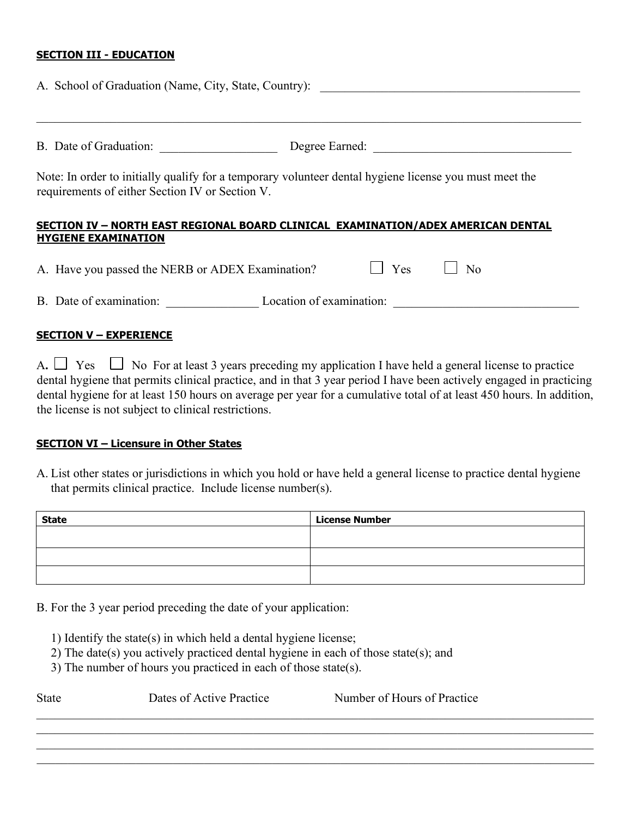#### **SECTION III - EDUCATION**

| A. School of Graduation (Name, City, State, Country):                                                                                                     |                          |            |    |  |
|-----------------------------------------------------------------------------------------------------------------------------------------------------------|--------------------------|------------|----|--|
| B. Date of Graduation:                                                                                                                                    |                          |            |    |  |
| Note: In order to initially qualify for a temporary volunteer dental hygiene license you must meet the<br>requirements of either Section IV or Section V. |                          |            |    |  |
| SECTION IV - NORTH EAST REGIONAL BOARD CLINICAL EXAMINATION/ADEX AMERICAN DENTAL<br><b>HYGIENE EXAMINATION</b>                                            |                          |            |    |  |
| A. Have you passed the NERB or ADEX Examination?                                                                                                          |                          | <b>Yes</b> | No |  |
| B. Date of examination:                                                                                                                                   | Location of examination: |            |    |  |

#### **SECTION V – EXPERIENCE**

A.  $\Box$  Yes  $\Box$  No For at least 3 years preceding my application I have held a general license to practice dental hygiene that permits clinical practice, and in that 3 year period I have been actively engaged in practicing dental hygiene for at least 150 hours on average per year for a cumulative total of at least 450 hours. In addition, the license is not subject to clinical restrictions.

#### **SECTION VI – Licensure in Other States**

A. List other states or jurisdictions in which you hold or have held a general license to practice dental hygiene that permits clinical practice. Include license number(s).

| <b>State</b> | <b>License Number</b> |
|--------------|-----------------------|
|              |                       |
|              |                       |
|              |                       |
|              |                       |

B. For the 3 year period preceding the date of your application:

- 1) Identify the state(s) in which held a dental hygiene license;
- 2) The date(s) you actively practiced dental hygiene in each of those state(s); and
- 3) The number of hours you practiced in each of those state(s).

| <b>State</b> | Dates of Active Practice | Number of Hours of Practice |  |  |
|--------------|--------------------------|-----------------------------|--|--|
|              |                          |                             |  |  |
|              |                          |                             |  |  |

 $\mathcal{L}_\mathcal{L} = \mathcal{L}_\mathcal{L} = \mathcal{L}_\mathcal{L} = \mathcal{L}_\mathcal{L} = \mathcal{L}_\mathcal{L} = \mathcal{L}_\mathcal{L} = \mathcal{L}_\mathcal{L} = \mathcal{L}_\mathcal{L} = \mathcal{L}_\mathcal{L} = \mathcal{L}_\mathcal{L} = \mathcal{L}_\mathcal{L} = \mathcal{L}_\mathcal{L} = \mathcal{L}_\mathcal{L} = \mathcal{L}_\mathcal{L} = \mathcal{L}_\mathcal{L} = \mathcal{L}_\mathcal{L} = \mathcal{L}_\mathcal{L}$  $\_$  , and the contribution of the contribution of the contribution of the contribution of the contribution of  $\mathcal{L}_\text{max}$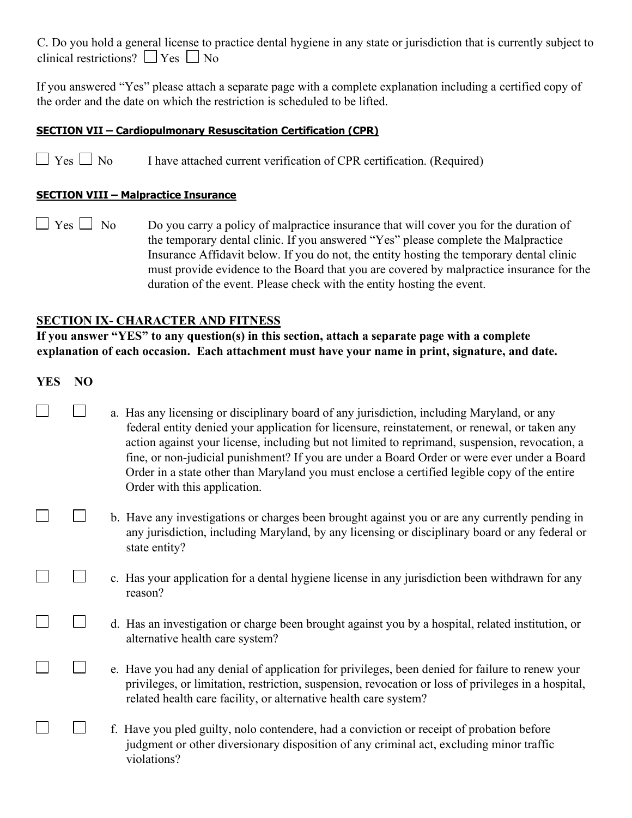C. Do you hold a general license to practice dental hygiene in any state or jurisdiction that is currently subject to clinical restrictions?  $\Box$  Yes  $\Box$  No

If you answered "Yes" please attach a separate page with a complete explanation including a certified copy of the order and the date on which the restriction is scheduled to be lifted.

#### **SECTION VII – Cardiopulmonary Resuscitation Certification (CPR)**

 $\Box$  Yes  $\Box$  No I have attached current verification of CPR certification. (Required)

#### **SECTION VIII – Malpractice Insurance**

 $\Box$  Yes  $\Box$  No Do you carry a policy of malpractice insurance that will cover you for the duration of the temporary dental clinic. If you answered "Yes" please complete the Malpractice Insurance Affidavit below. If you do not, the entity hosting the temporary dental clinic must provide evidence to the Board that you are covered by malpractice insurance for the duration of the event. Please check with the entity hosting the event.

### **SECTION IX- CHARACTER AND FITNESS**

**If you answer "YES" to any question(s) in this section, attach a separate page with a complete explanation of each occasion. Each attachment must have your name in print, signature, and date.** 

### **YES NO**

 $\Box$ 

 $\Box$ 

 $\Box$ 

 $\Box$ 

П

 $\Box$ 

- $\mathcal{L}^{\mathcal{L}}$  a. Has any licensing or disciplinary board of any jurisdiction, including Maryland, or any federal entity denied your application for licensure, reinstatement, or renewal, or taken any action against your license, including but not limited to reprimand, suspension, revocation, a fine, or non-judicial punishment? If you are under a Board Order or were ever under a Board Order in a state other than Maryland you must enclose a certified legible copy of the entire Order with this application.
- $\Box$  b. Have any investigations or charges been brought against you or are any currently pending in any jurisdiction, including Maryland, by any licensing or disciplinary board or any federal or state entity?
- $\Box$  c. Has your application for a dental hygiene license in any jurisdiction been withdrawn for any reason?
- $\Box$  d. Has an investigation or charge been brought against you by a hospital, related institution, or alternative health care system?
- $\Box$  e. Have you had any denial of application for privileges, been denied for failure to renew your privileges, or limitation, restriction, suspension, revocation or loss of privileges in a hospital, related health care facility, or alternative health care system?
- $\Box$  f. Have you pled guilty, nolo contendere, had a conviction or receipt of probation before judgment or other diversionary disposition of any criminal act, excluding minor traffic violations?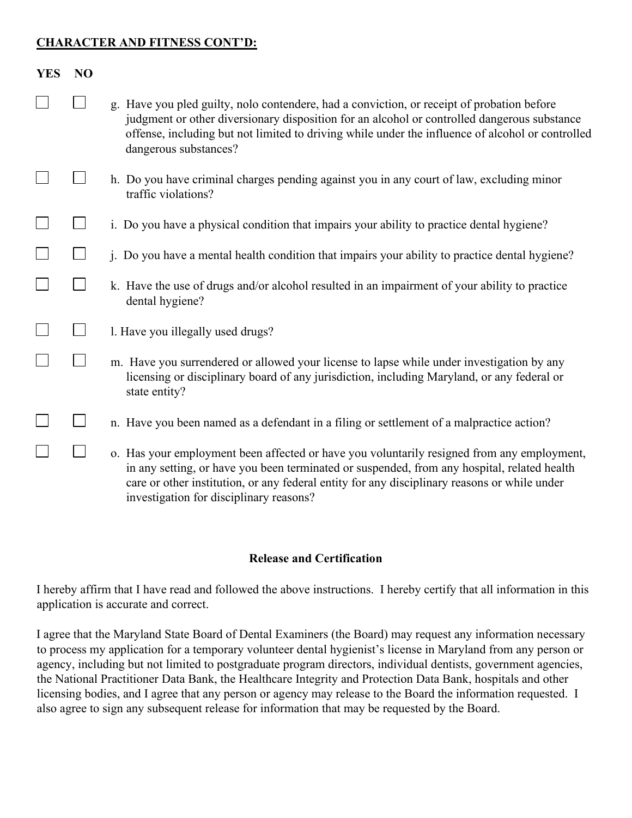### **CHARACTER AND FITNESS CONT'D:**

| <b>YES</b> | N <sub>O</sub> |                                                                                                                                                                                                                                                                                                                                      |
|------------|----------------|--------------------------------------------------------------------------------------------------------------------------------------------------------------------------------------------------------------------------------------------------------------------------------------------------------------------------------------|
|            |                | g. Have you pled guilty, nolo contendere, had a conviction, or receipt of probation before<br>judgment or other diversionary disposition for an alcohol or controlled dangerous substance<br>offense, including but not limited to driving while under the influence of alcohol or controlled<br>dangerous substances?               |
|            |                | h. Do you have criminal charges pending against you in any court of law, excluding minor<br>traffic violations?                                                                                                                                                                                                                      |
|            |                | i. Do you have a physical condition that impairs your ability to practice dental hygiene?                                                                                                                                                                                                                                            |
|            |                | j. Do you have a mental health condition that impairs your ability to practice dental hygiene?                                                                                                                                                                                                                                       |
|            |                | k. Have the use of drugs and/or alcohol resulted in an impairment of your ability to practice<br>dental hygiene?                                                                                                                                                                                                                     |
|            |                | 1. Have you illegally used drugs?                                                                                                                                                                                                                                                                                                    |
|            |                | m. Have you surrendered or allowed your license to lapse while under investigation by any<br>licensing or disciplinary board of any jurisdiction, including Maryland, or any federal or<br>state entity?                                                                                                                             |
|            |                | n. Have you been named as a defendant in a filing or settlement of a malpractice action?                                                                                                                                                                                                                                             |
|            |                | o. Has your employment been affected or have you voluntarily resigned from any employment,<br>in any setting, or have you been terminated or suspended, from any hospital, related health<br>care or other institution, or any federal entity for any disciplinary reasons or while under<br>investigation for disciplinary reasons? |

## **Release and Certification**

I hereby affirm that I have read and followed the above instructions. I hereby certify that all information in this application is accurate and correct.

I agree that the Maryland State Board of Dental Examiners (the Board) may request any information necessary to process my application for a temporary volunteer dental hygienist's license in Maryland from any person or agency, including but not limited to postgraduate program directors, individual dentists, government agencies, the National Practitioner Data Bank, the Healthcare Integrity and Protection Data Bank, hospitals and other licensing bodies, and I agree that any person or agency may release to the Board the information requested. I also agree to sign any subsequent release for information that may be requested by the Board.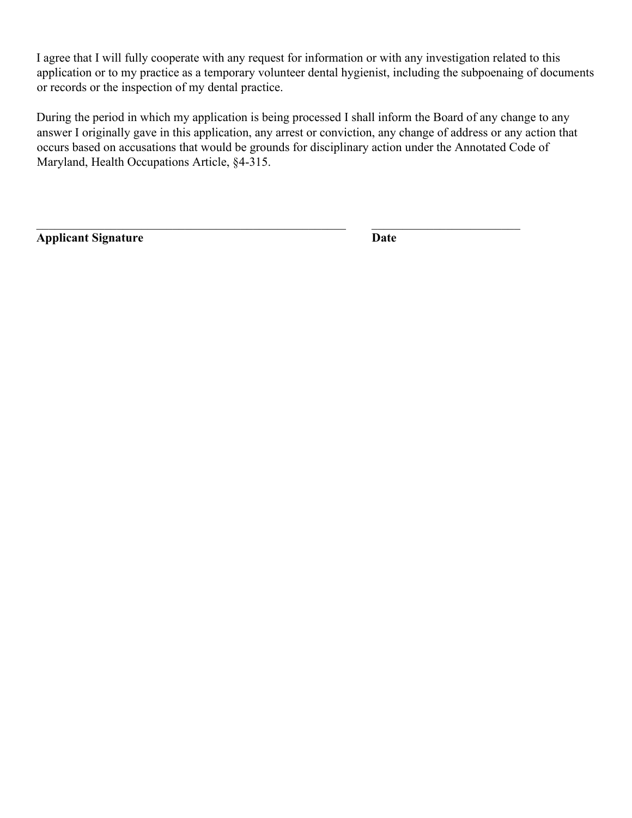I agree that I will fully cooperate with any request for information or with any investigation related to this application or to my practice as a temporary volunteer dental hygienist, including the subpoenaing of documents or records or the inspection of my dental practice.

During the period in which my application is being processed I shall inform the Board of any change to any answer I originally gave in this application, any arrest or conviction, any change of address or any action that occurs based on accusations that would be grounds for disciplinary action under the Annotated Code of Maryland, Health Occupations Article, §4-315.

 $\mathcal{L}_\text{max}$  , and the contribution of the contribution of the contribution of the contribution of the contribution of the contribution of the contribution of the contribution of the contribution of the contribution of t

**Applicant Signature Date**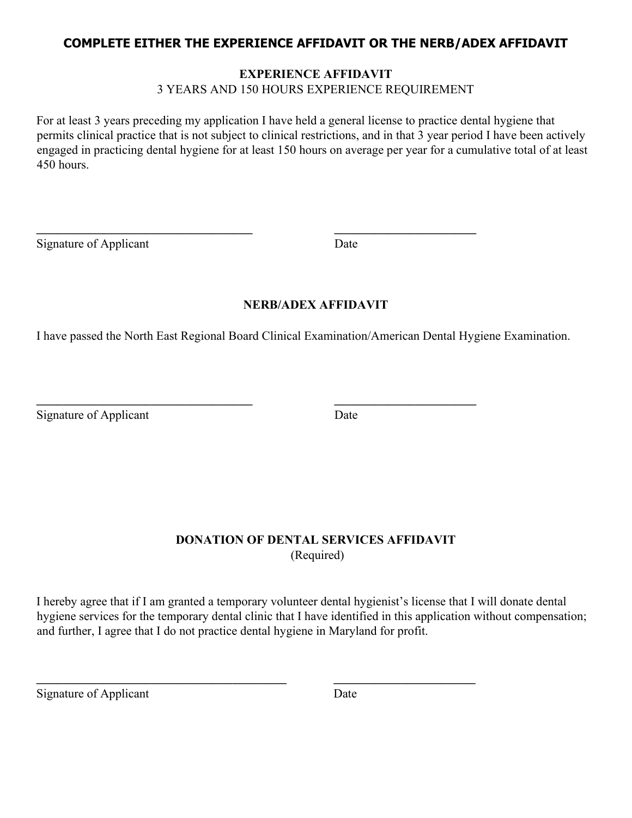## **COMPLETE EITHER THE EXPERIENCE AFFIDAVIT OR THE NERB/ADEX AFFIDAVIT**

#### **EXPERIENCE AFFIDAVIT**

3 YEARS AND 150 HOURS EXPERIENCE REQUIREMENT

For at least 3 years preceding my application I have held a general license to practice dental hygiene that permits clinical practice that is not subject to clinical restrictions, and in that 3 year period I have been actively engaged in practicing dental hygiene for at least 150 hours on average per year for a cumulative total of at least 450 hours.

Signature of Applicant Date

## **NERB/ADEX AFFIDAVIT**

I have passed the North East Regional Board Clinical Examination/American Dental Hygiene Examination.

 $\frac{1}{2}$  ,  $\frac{1}{2}$  ,  $\frac{1}{2}$  ,  $\frac{1}{2}$  ,  $\frac{1}{2}$  ,  $\frac{1}{2}$  ,  $\frac{1}{2}$  ,  $\frac{1}{2}$  ,  $\frac{1}{2}$  ,  $\frac{1}{2}$  ,  $\frac{1}{2}$  ,  $\frac{1}{2}$  ,  $\frac{1}{2}$  ,  $\frac{1}{2}$  ,  $\frac{1}{2}$  ,  $\frac{1}{2}$  ,  $\frac{1}{2}$  ,  $\frac{1}{2}$  ,  $\frac{1$ 

 $\frac{1}{2}$  ,  $\frac{1}{2}$  ,  $\frac{1}{2}$  ,  $\frac{1}{2}$  ,  $\frac{1}{2}$  ,  $\frac{1}{2}$  ,  $\frac{1}{2}$  ,  $\frac{1}{2}$  ,  $\frac{1}{2}$  ,  $\frac{1}{2}$  ,  $\frac{1}{2}$  ,  $\frac{1}{2}$  ,  $\frac{1}{2}$  ,  $\frac{1}{2}$  ,  $\frac{1}{2}$  ,  $\frac{1}{2}$  ,  $\frac{1}{2}$  ,  $\frac{1}{2}$  ,  $\frac{1$ 

 $\mathcal{L}_\text{max}$  , and the contribution of the contribution of  $\mathcal{L}_\text{max}$  , and the contribution of  $\mathcal{L}_\text{max}$ 

Signature of Applicant Date

## **DONATION OF DENTAL SERVICES AFFIDAVIT**  (Required)

I hereby agree that if I am granted a temporary volunteer dental hygienist's license that I will donate dental hygiene services for the temporary dental clinic that I have identified in this application without compensation; and further, I agree that I do not practice dental hygiene in Maryland for profit.

Signature of Applicant Date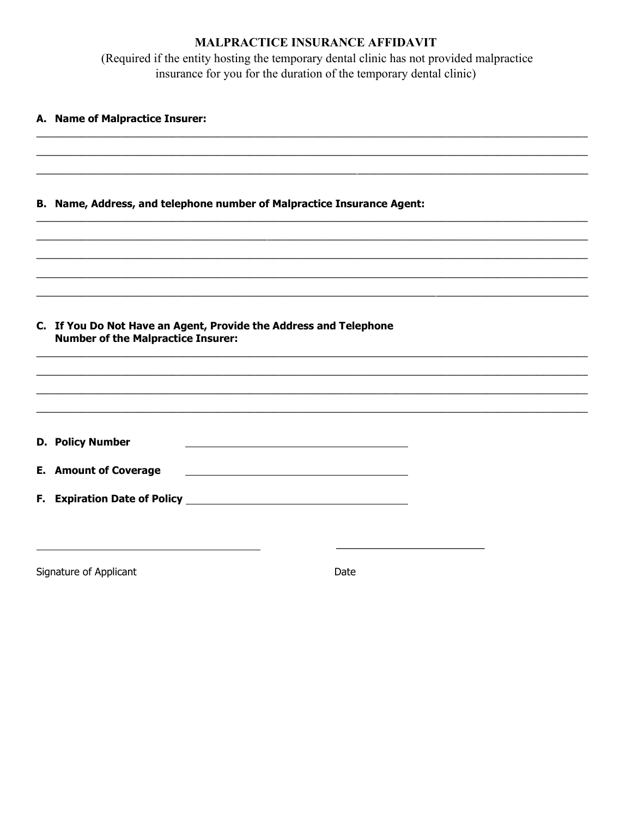## MALPRACTICE INSURANCE AFFIDAVIT

(Required if the entity hosting the temporary dental clinic has not provided malpractice insurance for you for the duration of the temporary dental clinic)

| A. Name of Malpractice Insurer:                                                                                |      |  |  |
|----------------------------------------------------------------------------------------------------------------|------|--|--|
|                                                                                                                |      |  |  |
| B. Name, Address, and telephone number of Malpractice Insurance Agent:                                         |      |  |  |
|                                                                                                                |      |  |  |
|                                                                                                                |      |  |  |
| C. If You Do Not Have an Agent, Provide the Address and Telephone<br><b>Number of the Malpractice Insurer:</b> |      |  |  |
|                                                                                                                |      |  |  |
|                                                                                                                |      |  |  |
| <b>D. Policy Number</b>                                                                                        |      |  |  |
| <b>E. Amount of Coverage</b>                                                                                   |      |  |  |
|                                                                                                                |      |  |  |
| Signature of Applicant                                                                                         | Date |  |  |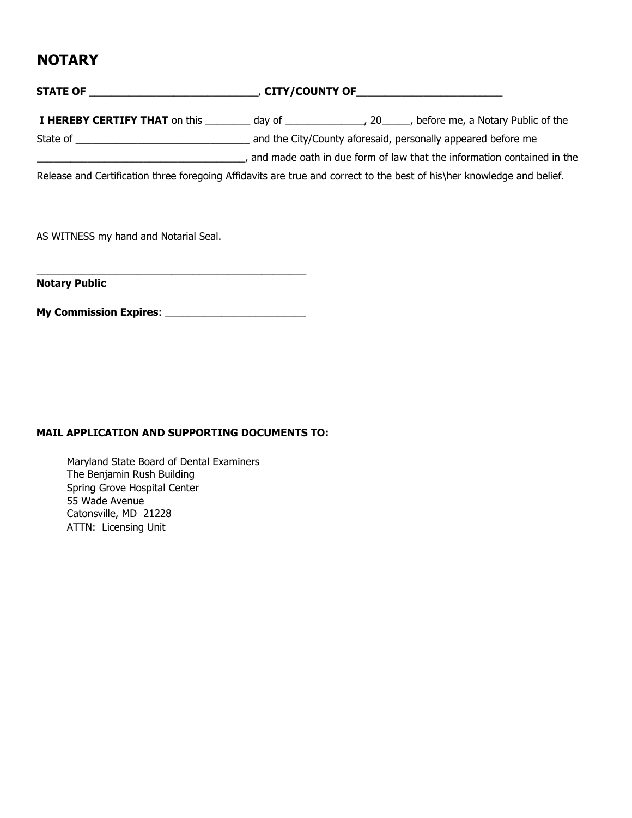## **NOTARY**

# **STATE OF** \_\_\_\_\_\_\_\_\_\_\_\_\_\_\_\_\_\_\_\_\_\_\_\_\_\_\_\_\_\_, **CITY/COUNTY OF**\_\_\_\_\_\_\_\_\_\_\_\_\_\_\_\_\_\_\_\_\_\_\_\_\_\_

**I HEREBY CERTIFY THAT** on this day of  $\qquad \qquad$ , 20  $\qquad$ , before me, a Notary Public of the State of \_\_\_\_\_\_\_\_\_\_\_\_\_\_\_\_\_\_\_\_\_\_\_\_\_\_\_\_\_\_\_ and the City/County aforesaid, personally appeared before me

\_\_\_\_\_\_\_\_\_\_\_\_\_\_\_\_\_\_\_\_\_\_\_\_\_\_\_\_\_\_\_\_\_\_\_\_\_, and made oath in due form of law that the information contained in the

Release and Certification three foregoing Affidavits are true and correct to the best of his\her knowledge and belief.

AS WITNESS my hand and Notarial Seal.

**Notary Public** 

**My Commission Expires**: \_\_\_\_\_\_\_\_\_\_\_\_\_\_\_\_\_\_\_\_\_\_\_\_\_

\_\_\_\_\_\_\_\_\_\_\_\_\_\_\_\_\_\_\_\_\_\_\_\_\_\_\_\_\_\_\_\_\_\_\_\_\_\_\_\_\_\_\_\_\_\_\_\_

#### **MAIL APPLICATION AND SUPPORTING DOCUMENTS TO:**

Maryland State Board of Dental Examiners The Benjamin Rush Building Spring Grove Hospital Center 55 Wade Avenue Catonsville, MD 21228 ATTN: Licensing Unit